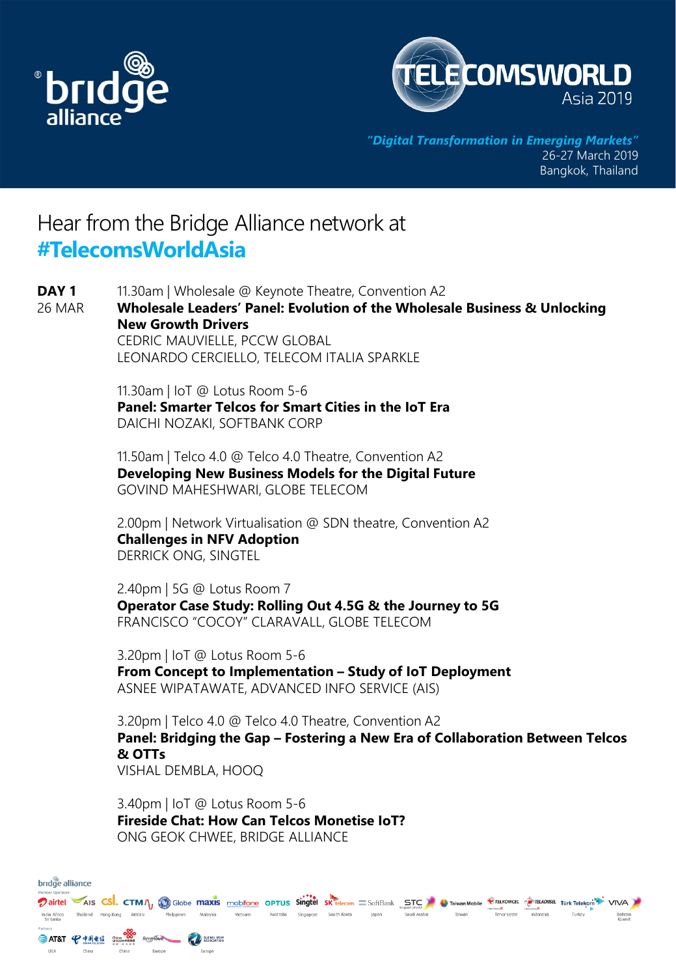



*"Digital Transformation in Emerging Markets"* 26-27 March 2019 Bangkok, Thailand

## Hear from the Bridge Alliance network at **#TelecomsWorldAsia**

11.30am | Wholesale @ Keynote Theatre, Convention A2 **Wholesale Leaders' Panel: Evolution of the Wholesale Business & Unlocking New Growth Drivers** CEDRIC MAUVIELLE, PCCW GLOBAL LEONARDO CERCIELLO, TELECOM ITALIA SPARKLE 11.30am | IoT @ Lotus Room 5-6 **Panel: Smarter Telcos for Smart Cities in the IoT Era** DAICHI NOZAKI, SOFTBANK CORP 11.50am | Telco 4.0 @ Telco 4.0 Theatre, Convention A2 **Developing New Business Models for the Digital Future** GOVIND MAHESHWARI, GLOBE TELECOM 2.00pm | Network Virtualisation @ SDN theatre, Convention A2 **Challenges in NFV Adoption** DERRICK ONG, SINGTEL 2.40pm | 5G @ Lotus Room 7 **Operator Case Study: Rolling Out 4.5G & the Journey to 5G** FRANCISCO "COCOY" CLARAVALL, GLOBE TELECOM 3.20pm | IoT @ Lotus Room 5-6 **From Concept to Implementation – Study of IoT Deployment** ASNEE WIPATAWATE, ADVANCED INFO SERVICE (AIS) 3.20pm | Telco 4.0 @ Telco 4.0 Theatre, Convention A2 **Panel: Bridging the Gap – Fostering a New Era of Collaboration Between Telcos & OTTs** VISHAL DEMBLA, HOOQ 3.40pm | IoT @ Lotus Room 5-6 **DAY 1** 26 MAR

**Fireside Chat: How Can Telcos Monetise IoT?** ONG GEOK CHWEE, BRIDGE ALLIANCE

| bridge alliance           |       |  |                          |                                                                 |          |         |  |  |                                 |       |              |                                                                                                                                              |                                 |           |        |                   |
|---------------------------|-------|--|--------------------------|-----------------------------------------------------------------|----------|---------|--|--|---------------------------------|-------|--------------|----------------------------------------------------------------------------------------------------------------------------------------------|---------------------------------|-----------|--------|-------------------|
| Member Operators          |       |  |                          |                                                                 |          |         |  |  |                                 |       |              | Dairtel AIS CSI. CTMA, OGlobe maxis mobifone OPTUS Singtel SK relecom SoftBank STC C Taiwan Mobile TTELKOMCEL TUTK Telekom <sup>2</sup> VIVA | <b><i>Channers Channers</i></b> |           |        |                   |
| India Africa<br>Sri Lanka |       |  | Thailand Hong Kong Macau | Philippines                                                     | Malaysia | Vietnam |  |  | Australia Singapore South Korea | Japan | Saudi Arabia | Talwan                                                                                                                                       | Timor-Leste                     | Indonesia | Turkey | Bahrain<br>Kuwait |
| Partners<br><b>USA</b>    | China |  | China                    | <b>SAT&amp;T P+Hed Street freemover Communication</b><br>Europe | Europe   |         |  |  |                                 |       |              |                                                                                                                                              |                                 |           |        |                   |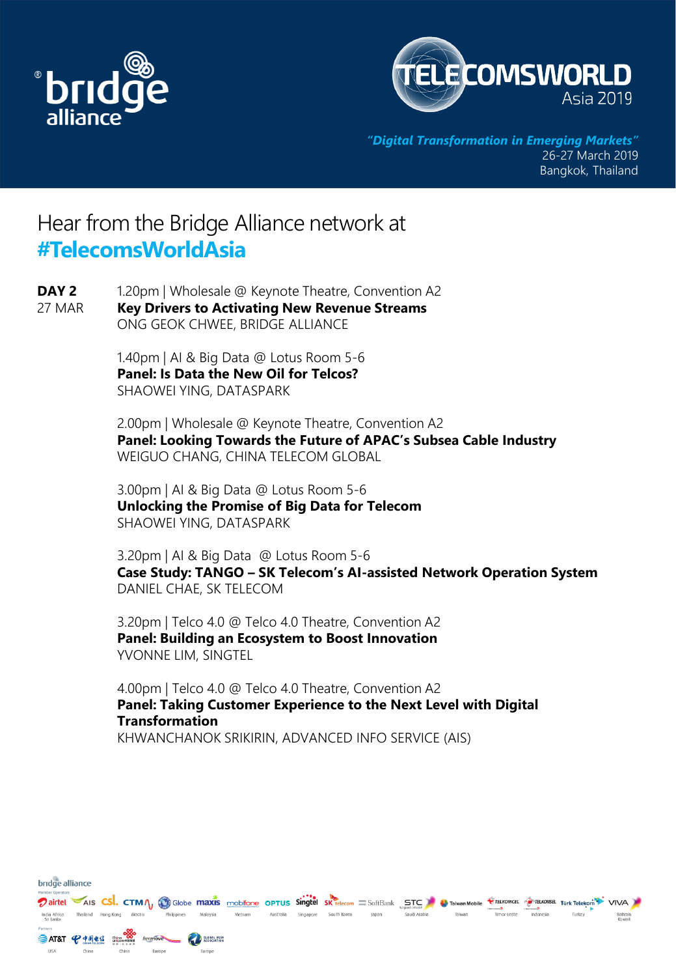

bridge alliance



*"Digital Transformation in Emerging Markets"* 26-27 March 2019 Bangkok, Thailand

## Hear from the Bridge Alliance network at **#TelecomsWorldAsia**

1.20pm | Wholesale @ Keynote Theatre, Convention A2 **Key Drivers to Activating New Revenue Streams DAY 2** 27 MAR

ONG GEOK CHWEE, BRIDGE ALLIANCE

1.40pm | AI & Big Data @ Lotus Room 5-6 **Panel: Is Data the New Oil for Telcos?** SHAOWEI YING, DATASPARK

2.00pm | Wholesale @ Keynote Theatre, Convention A2 **Panel: Looking Towards the Future of APAC's Subsea Cable Industry** WEIGUO CHANG, CHINA TELECOM GLOBAL

3.00pm | AI & Big Data @ Lotus Room 5-6 **Unlocking the Promise of Big Data for Telecom** SHAOWEI YING, DATASPARK

3.20pm | AI & Big Data @ Lotus Room 5-6 **Case Study: TANGO – SK Telecom's AI-assisted Network Operation System**  DANIEL CHAE, SK TELECOM

3.20pm | Telco 4.0 @ Telco 4.0 Theatre, Convention A2 **Panel: Building an Ecosystem to Boost Innovation** YVONNE LIM, SINGTEL

4.00pm | Telco 4.0 @ Telco 4.0 Theatre, Convention A2 **Panel: Taking Customer Experience to the Next Level with Digital Transformation** KHWANCHANOK SRIKIRIN, ADVANCED INFO SERVICE (AIS)

Dairtel AIS CSI. CTM IN GOODE MAXIS mobifone OPTUS Singtel SK telecom SoftBank STC C Taiwan Mobile *CTELKOWCEL* TO TAKOWSEL TUrk Telekom<sup>2</sup> VIVA India Africa - Thailand - Hong Kong - Macau<br>Sri Lanka Australia Singapore South-Korea - Japan Philippines Malaysia Vietnam Saudi Arabia Taiwan Timor-Leste Turkey SAT&T + PARA CHORO SECTION AND SUGAR MAN **USA** China Europe